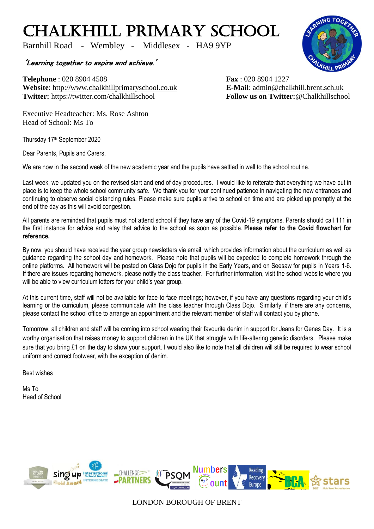## CHALKHILL PRIMARY SCHOOL

Barnhill Road - Wembley - Middlesex - HA9 9YP

'Learning together to aspire and achieve.'

**Telephone** : 020 8904 4508 **Fax** : 020 8904 1227 **Website**: [http://www.chalkhillprimaryschool.co.uk](http://www.chalkhillprimaryschool.co.uk/) **E-Mail**: [admin@chalkhill.brent.sch.uk](mailto:admin@chalkhill.brent.sch.uk) **Twitter:** https://twitter.com/chalkhillschool **Follow us on Twitter:**@Chalkhillschool

Executive Headteacher: Ms. Rose Ashton Head of School: Ms To

Thursday 17<sup>th</sup> September 2020

Dear Parents, Pupils and Carers,

We are now in the second week of the new academic year and the pupils have settled in well to the school routine.

Last week, we updated you on the revised start and end of day procedures. I would like to reiterate that everything we have put in place is to keep the whole school community safe. We thank you for your continued patience in navigating the new entrances and continuing to observe social distancing rules. Please make sure pupils arrive to school on time and are picked up promptly at the end of the day as this will avoid congestion.

All parents are reminded that pupils must not attend school if they have any of the Covid-19 symptoms. Parents should call 111 in the first instance for advice and relay that advice to the school as soon as possible. **Please refer to the Covid flowchart for reference.**

By now, you should have received the year group newsletters via email, which provides information about the curriculum as well as guidance regarding the school day and homework. Please note that pupils will be expected to complete homework through the online platforms. All homework will be posted on Class Dojo for pupils in the Early Years, and on Seesaw for pupils in Years 1-6. If there are issues regarding homework, please notify the class teacher. For further information, visit the school website where you will be able to view curriculum letters for your child's year group.

At this current time, staff will not be available for face-to-face meetings; however, if you have any questions regarding your child's learning or the curriculum, please communicate with the class teacher through Class Dojo. Similarly, if there are any concerns, please contact the school office to arrange an appointment and the relevant member of staff will contact you by phone.

Tomorrow, all children and staff will be coming into school wearing their favourite denim in support for Jeans for Genes Day. It is a worthy organisation that raises money to support children in the UK that struggle with life-altering genetic disorders. Please make sure that you bring £1 on the day to show your support. I would also like to note that all children will still be required to wear school uniform and correct footwear, with the exception of denim.

Best wishes

Ms To Head of School



LONDON BOROUGH OF BRENT